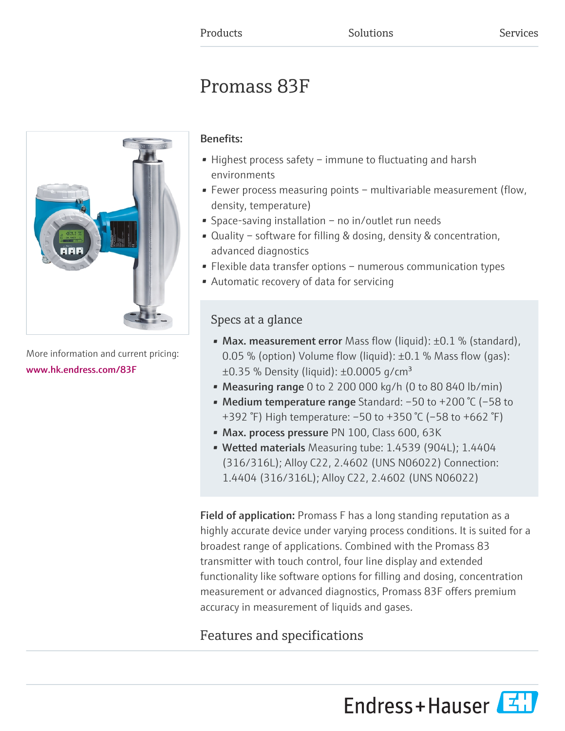# Promass 83F



More information and current pricing: [www.hk.endress.com/83F](https://www.hk.endress.com/83F)

## Benefits:

- Highest process safety immune to fluctuating and harsh environments
- Fewer process measuring points multivariable measurement (flow, density, temperature)
- Space-saving installation no in/outlet run needs
- Quality software for filling & dosing, density & concentration, advanced diagnostics
- Flexible data transfer options numerous communication types
- Automatic recovery of data for servicing

## Specs at a glance

- Max. measurement error Mass flow (liquid):  $\pm 0.1$  % (standard), 0.05 % (option) Volume flow (liquid):  $\pm$ 0.1 % Mass flow (qas):  $\pm 0.35$  % Density (liquid):  $\pm 0.0005$  g/cm<sup>3</sup>
- Measuring range 0 to 2 200 000 kg/h (0 to 80 840 lb/min)
- Medium temperature range Standard: –50 to +200 °C (–58 to +392 °F) High temperature: –50 to +350 °C (–58 to +662 °F)
- Max. process pressure PN 100, Class 600, 63K
- Wetted materials Measuring tube: 1.4539 (904L); 1.4404 (316/316L); Alloy C22, 2.4602 (UNS N06022) Connection: 1.4404 (316/316L); Alloy C22, 2.4602 (UNS N06022)

Field of application: Promass F has a long standing reputation as a highly accurate device under varying process conditions. It is suited for a broadest range of applications. Combined with the Promass 83 transmitter with touch control, four line display and extended functionality like software options for filling and dosing, concentration measurement or advanced diagnostics, Promass 83F offers premium accuracy in measurement of liquids and gases.

## Features and specifications

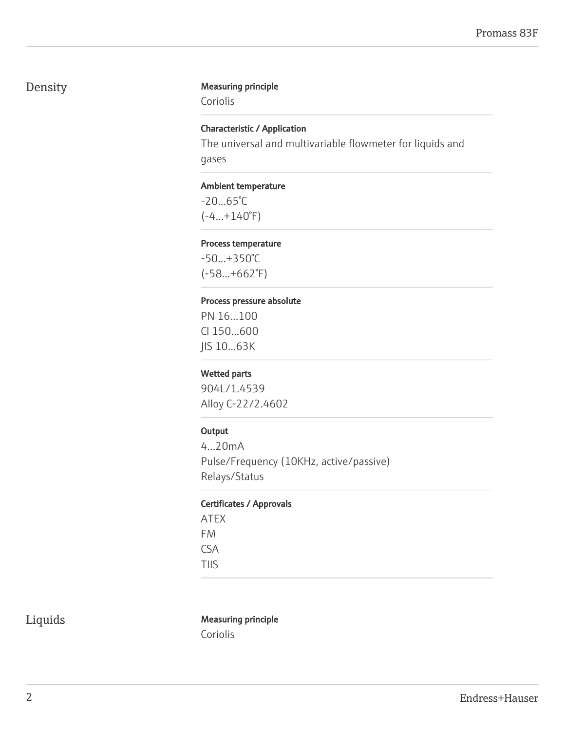## Density Measuring principle

Coriolis

### Characteristic / Application

The universal and multivariable flowmeter for liquids and gases

#### Ambient temperature

-20...65°C  $(-4...+140°F)$ 

#### Process temperature

-50...+350°C (-58...+662°F)

#### Process pressure absolute

PN 16...100 Cl 150...600 JIS 10...63K

#### Wetted parts

904L/1.4539 Alloy C-22/2.4602

#### **Output**

4...20mA Pulse/Frequency (10KHz, active/passive) Relays/Status

#### Certificates / Approvals

ATEX FM CSA TIIS

## Liquids Measuring principle

Coriolis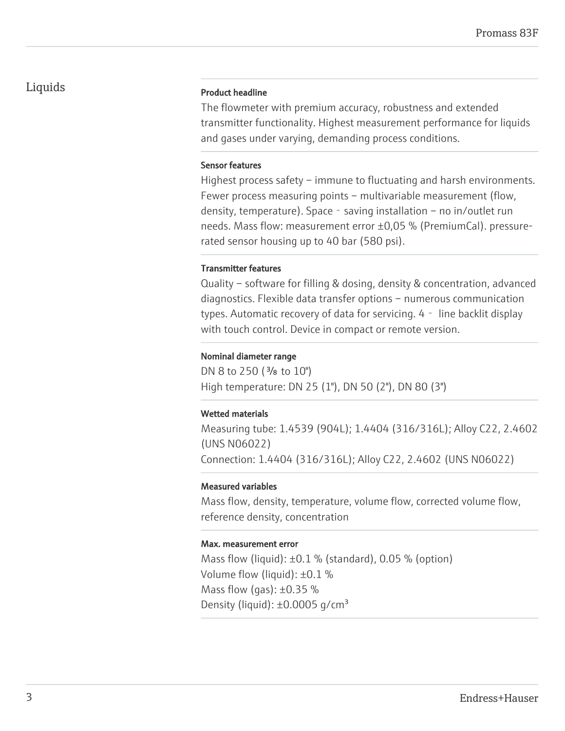#### Product headline

The flowmeter with premium accuracy, robustness and extended transmitter functionality. Highest measurement performance for liquids and gases under varying, demanding process conditions.

#### Sensor features

Highest process safety – immune to fluctuating and harsh environments. Fewer process measuring points – multivariable measurement (flow, density, temperature). Space  $-$  saving installation  $-$  no in/outlet run needs. Mass flow: measurement error ±0,05 % (PremiumCal). pressurerated sensor housing up to 40 bar (580 psi).

#### Transmitter features

Quality – software for filling & dosing, density & concentration, advanced diagnostics. Flexible data transfer options – numerous communication types. Automatic recovery of data for servicing. 4‐ line backlit display with touch control. Device in compact or remote version.

#### Nominal diameter range

DN 8 to 250 ( $\frac{3}{8}$  to 10") High temperature: DN 25 (1"), DN 50 (2"), DN 80 (3")

#### Wetted materials

Measuring tube: 1.4539 (904L); 1.4404 (316/316L); Alloy C22, 2.4602 (UNS N06022) Connection: 1.4404 (316/316L); Alloy C22, 2.4602 (UNS N06022)

#### Measured variables

Mass flow, density, temperature, volume flow, corrected volume flow, reference density, concentration

#### Max. measurement error

Mass flow (liquid):  $\pm 0.1$  % (standard), 0.05 % (option) Volume flow (liquid): ±0.1 % Mass flow (gas):  $\pm 0.35$  % Density (liquid):  $\pm 0.0005$  g/cm<sup>3</sup>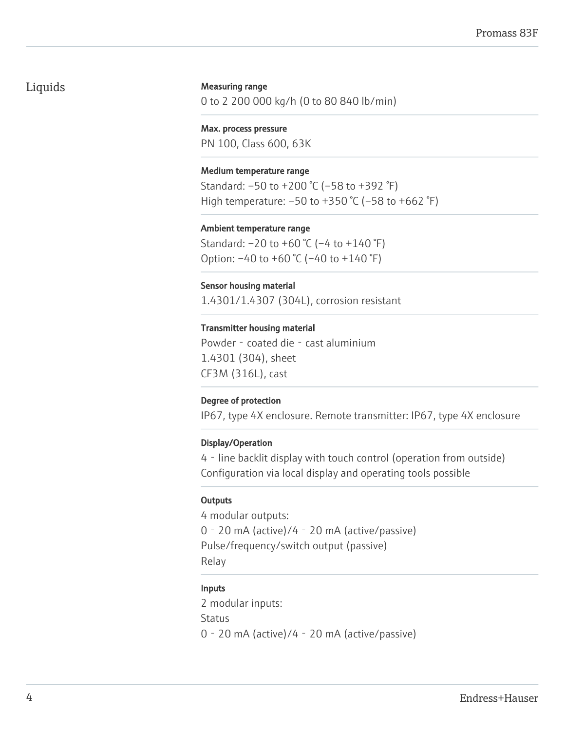#### Measuring range

0 to 2 200 000 kg/h (0 to 80 840 lb/min)

Max. process pressure PN 100, Class 600, 63K

#### Medium temperature range

Standard: –50 to +200 °C (–58 to +392 °F) High temperature: –50 to +350 °C (–58 to +662 °F)

#### Ambient temperature range

Standard: –20 to +60 °C (–4 to +140 °F) Option: –40 to +60 °C (–40 to +140 °F)

#### Sensor housing material

1.4301/1.4307 (304L), corrosion resistant

#### Transmitter housing material

Powder - coated die - cast aluminium 1.4301 (304), sheet CF3M (316L), cast

#### Degree of protection

IP67, type 4X enclosure. Remote transmitter: IP67, type 4X enclosure

#### Display/Operation

4‐line backlit display with touch control (operation from outside) Configuration via local display and operating tools possible

#### **Outputs**

4 modular outputs: 0‐20 mA (active)/4‐20 mA (active/passive) Pulse/frequency/switch output (passive) Relay

#### Inputs

2 modular inputs: **Status** 0‐20 mA (active)/4‐20 mA (active/passive)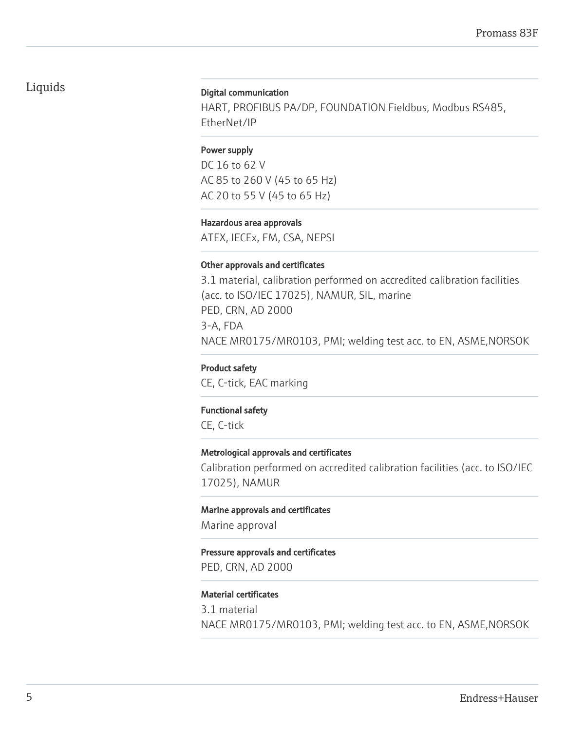#### Digital communication

HART, PROFIBUS PA/DP, FOUNDATION Fieldbus, Modbus RS485, EtherNet/IP

#### Power supply

DC 16 to 62 V AC 85 to 260 V (45 to 65 Hz) AC 20 to 55 V (45 to 65 Hz)

Hazardous area approvals ATEX, IECEx, FM, CSA, NEPSI

#### Other approvals and certificates

3.1 material, calibration performed on accredited calibration facilities (acc. to ISO/IEC 17025), NAMUR, SIL, marine PED, CRN, AD 2000 3-A, FDA NACE MR0175/MR0103, PMI; welding test acc. to EN, ASME,NORSOK

Product safety CE, C-tick, EAC marking

#### Functional safety

CE, C-tick

#### Metrological approvals and certificates

Calibration performed on accredited calibration facilities (acc. to ISO/IEC 17025), NAMUR

Marine approvals and certificates

Marine approval

#### Pressure approvals and certificates

PED, CRN, AD 2000

#### Material certificates

3.1 material NACE MR0175/MR0103, PMI; welding test acc. to EN, ASME,NORSOK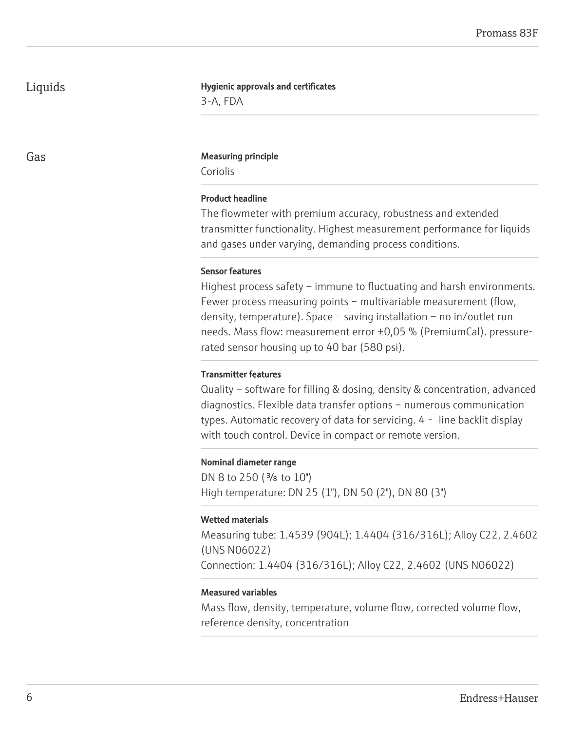#### Hygienic approvals and certificates

3-A, FDA

#### Gas **Gas** Measuring principle

Coriolis

#### Product headline

The flowmeter with premium accuracy, robustness and extended transmitter functionality. Highest measurement performance for liquids and gases under varying, demanding process conditions.

#### Sensor features

Highest process safety – immune to fluctuating and harsh environments. Fewer process measuring points – multivariable measurement (flow, density, temperature). Space - saving installation – no in/outlet run needs. Mass flow: measurement error ±0,05 % (PremiumCal). pressurerated sensor housing up to 40 bar (580 psi).

#### Transmitter features

Quality – software for filling & dosing, density & concentration, advanced diagnostics. Flexible data transfer options – numerous communication types. Automatic recovery of data for servicing. 4‐ line backlit display with touch control. Device in compact or remote version.

#### Nominal diameter range

DN 8 to 250 ( $\frac{3}{8}$  to 10") High temperature: DN 25 (1"), DN 50 (2"), DN 80 (3")

#### Wetted materials

Measuring tube: 1.4539 (904L); 1.4404 (316/316L); Alloy C22, 2.4602 (UNS N06022) Connection: 1.4404 (316/316L); Alloy C22, 2.4602 (UNS N06022)

#### Measured variables

Mass flow, density, temperature, volume flow, corrected volume flow, reference density, concentration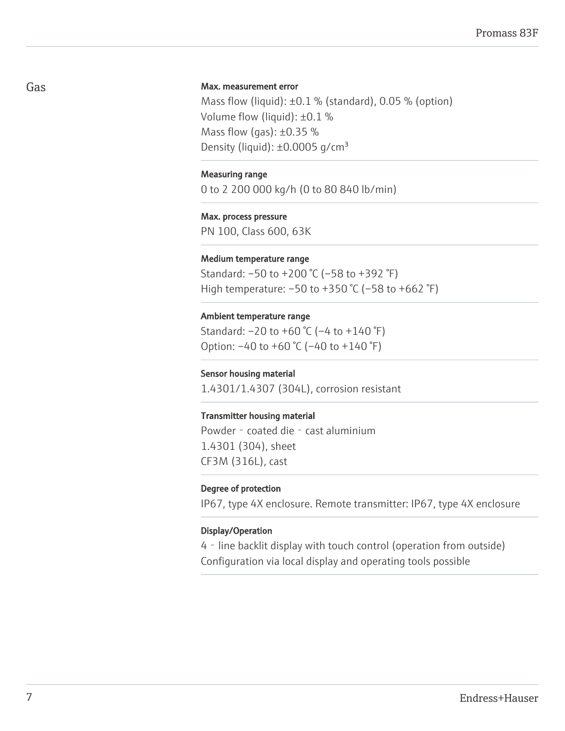#### Max. measurement error

Mass flow (liquid):  $\pm 0.1$  % (standard), 0.05 % (option) Volume flow (liquid): ±0.1 % Mass flow (gas):  $\pm 0.35$  % Density (liquid):  $\pm 0.0005$  q/cm<sup>3</sup>

#### Measuring range

0 to 2 200 000 kg/h (0 to 80 840 lb/min)

#### Max. process pressure

PN 100, Class 600, 63K

#### Medium temperature range

Standard: –50 to +200 °C (–58 to +392 °F) High temperature: –50 to +350 °C (–58 to +662 °F)

#### Ambient temperature range

Standard:  $-20$  to  $+60$  °C ( $-4$  to  $+140$  °F) Option: –40 to +60 °C (–40 to +140 °F)

#### Sensor housing material

1.4301/1.4307 (304L), corrosion resistant

#### Transmitter housing material

Powder - coated die - cast aluminium 1.4301 (304), sheet CF3M (316L), cast

#### Degree of protection

IP67, type 4X enclosure. Remote transmitter: IP67, type 4X enclosure

#### Display/Operation

4‐line backlit display with touch control (operation from outside) Configuration via local display and operating tools possible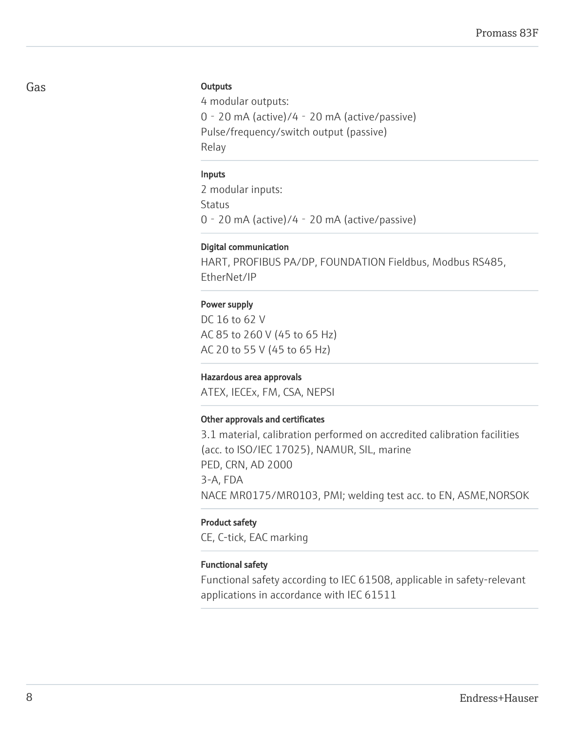#### **Outputs**

4 modular outputs: 0‐20 mA (active)/4‐20 mA (active/passive) Pulse/frequency/switch output (passive) Relay

#### Inputs

2 modular inputs: **Status** 0‐20 mA (active)/4‐20 mA (active/passive)

#### Digital communication

HART, PROFIBUS PA/DP, FOUNDATION Fieldbus, Modbus RS485, EtherNet/IP

#### Power supply

DC 16 to 62 V AC 85 to 260 V (45 to 65 Hz) AC 20 to 55 V (45 to 65 Hz)

#### Hazardous area approvals

ATEX, IECEx, FM, CSA, NEPSI

#### Other approvals and certificates

3.1 material, calibration performed on accredited calibration facilities (acc. to ISO/IEC 17025), NAMUR, SIL, marine PED, CRN, AD 2000 3-A, FDA NACE MR0175/MR0103, PMI; welding test acc. to EN, ASME,NORSOK

#### Product safety

CE, C-tick, EAC marking

#### Functional safety

Functional safety according to IEC 61508, applicable in safety-relevant applications in accordance with IEC 61511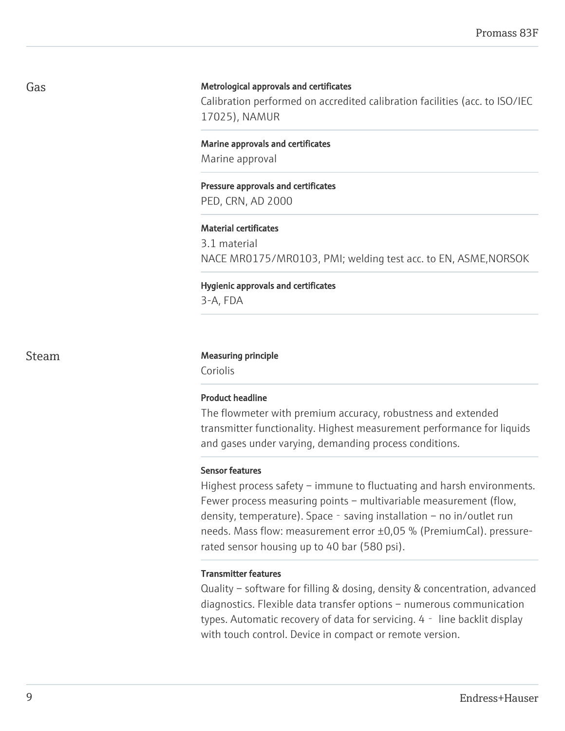#### Metrological approvals and certificates

Calibration performed on accredited calibration facilities (acc. to ISO/IEC 17025), NAMUR

Marine approvals and certificates Marine approval

### Pressure approvals and certificates PED, CRN, AD 2000

#### Material certificates

3.1 material NACE MR0175/MR0103, PMI; welding test acc. to EN, ASME,NORSOK

Hygienic approvals and certificates 3-A, FDA

#### Steam Measuring principle

Coriolis

#### Product headline

The flowmeter with premium accuracy, robustness and extended transmitter functionality. Highest measurement performance for liquids and gases under varying, demanding process conditions.

#### Sensor features

Highest process safety – immune to fluctuating and harsh environments. Fewer process measuring points – multivariable measurement (flow, density, temperature). Space - saving installation – no in/outlet run needs. Mass flow: measurement error ±0,05 % (PremiumCal). pressurerated sensor housing up to 40 bar (580 psi).

#### Transmitter features

Quality – software for filling & dosing, density & concentration, advanced diagnostics. Flexible data transfer options – numerous communication types. Automatic recovery of data for servicing. 4‐ line backlit display with touch control. Device in compact or remote version.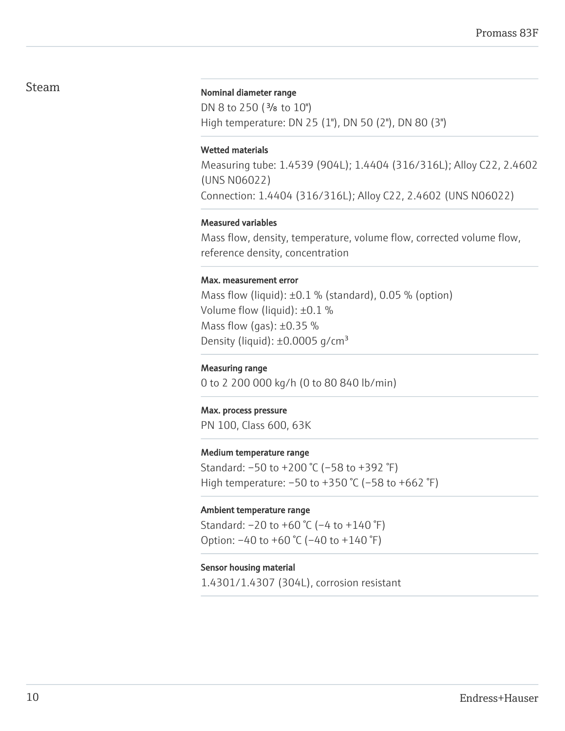## Steam

#### Nominal diameter range

DN 8 to 250 ( $\frac{3}{8}$  to 10") High temperature: DN 25 (1"), DN 50 (2"), DN 80 (3")

#### Wetted materials

Measuring tube: 1.4539 (904L); 1.4404 (316/316L); Alloy C22, 2.4602 (UNS N06022) Connection: 1.4404 (316/316L); Alloy C22, 2.4602 (UNS N06022)

#### Measured variables

Mass flow, density, temperature, volume flow, corrected volume flow, reference density, concentration

#### Max. measurement error

Mass flow (liquid):  $\pm 0.1$  % (standard), 0.05 % (option) Volume flow (liquid): ±0.1 % Mass flow (gas):  $\pm 0.35$  % Density (liquid):  $\pm 0.0005$  g/cm<sup>3</sup>

#### Measuring range

0 to 2 200 000 kg/h (0 to 80 840 lb/min)

#### Max. process pressure

PN 100, Class 600, 63K

#### Medium temperature range

Standard: –50 to +200 °C (–58 to +392 °F) High temperature: –50 to +350 °C (–58 to +662 °F)

#### Ambient temperature range

Standard:  $-20$  to  $+60$  °C ( $-4$  to  $+140$  °F) Option: –40 to +60 °C (–40 to +140 °F)

#### Sensor housing material

1.4301/1.4307 (304L), corrosion resistant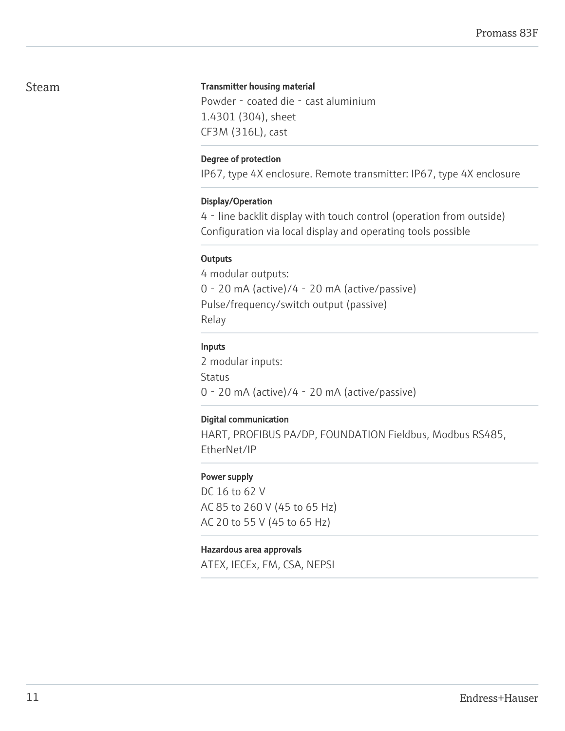## Steam

#### Transmitter housing material

Powder - coated die - cast aluminium 1.4301 (304), sheet CF3M (316L), cast

#### Degree of protection

IP67, type 4X enclosure. Remote transmitter: IP67, type 4X enclosure

#### Display/Operation

4‐line backlit display with touch control (operation from outside) Configuration via local display and operating tools possible

### **Outputs**

4 modular outputs: 0‐20 mA (active)/4‐20 mA (active/passive) Pulse/frequency/switch output (passive) Relay

### Inputs

2 modular inputs: **Status** 0‐20 mA (active)/4‐20 mA (active/passive)

### Digital communication

HART, PROFIBUS PA/DP, FOUNDATION Fieldbus, Modbus RS485, EtherNet/IP

### Power supply

DC 16 to 62 V AC 85 to 260 V (45 to 65 Hz) AC 20 to 55 V (45 to 65 Hz)

### Hazardous area approvals

ATEX, IECEx, FM, CSA, NEPSI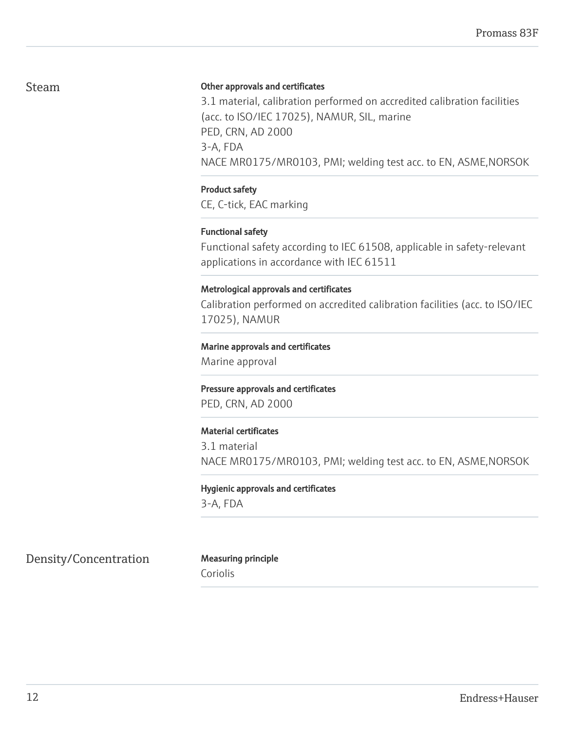## Steam

#### Other approvals and certificates

3.1 material, calibration performed on accredited calibration facilities (acc. to ISO/IEC 17025), NAMUR, SIL, marine PED, CRN, AD 2000 3-A, FDA NACE MR0175/MR0103, PMI; welding test acc. to EN, ASME,NORSOK

#### Product safety

CE, C-tick, EAC marking

#### Functional safety

Functional safety according to IEC 61508, applicable in safety-relevant applications in accordance with IEC 61511

#### Metrological approvals and certificates

Calibration performed on accredited calibration facilities (acc. to ISO/IEC 17025), NAMUR

#### Marine approvals and certificates

Marine approval

Pressure approvals and certificates PED, CRN, AD 2000

#### Material certificates

3.1 material NACE MR0175/MR0103, PMI; welding test acc. to EN, ASME,NORSOK

#### Hygienic approvals and certificates

3-A, FDA

Density/Concentration Measuring principle

Coriolis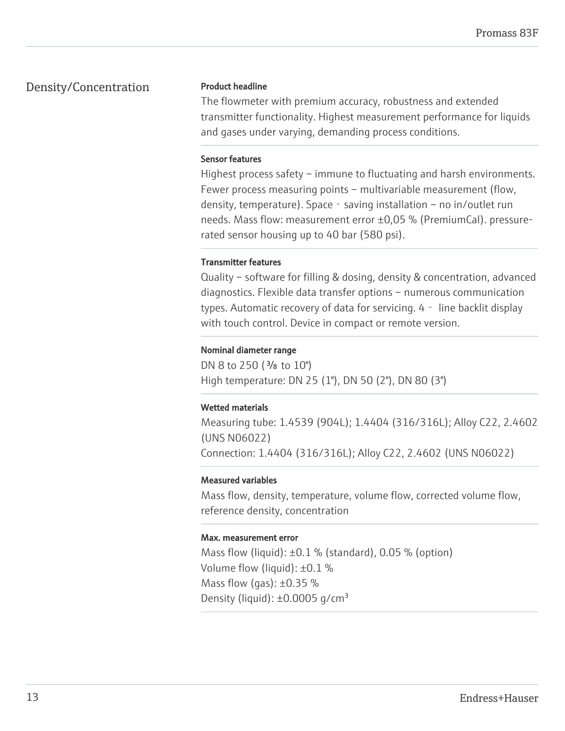## Density/Concentration

#### Product headline

The flowmeter with premium accuracy, robustness and extended transmitter functionality. Highest measurement performance for liquids and gases under varying, demanding process conditions.

#### Sensor features

Highest process safety – immune to fluctuating and harsh environments. Fewer process measuring points – multivariable measurement (flow, density, temperature). Space - saving installation – no in/outlet run needs. Mass flow: measurement error ±0,05 % (PremiumCal). pressurerated sensor housing up to 40 bar (580 psi).

#### Transmitter features

Quality – software for filling & dosing, density & concentration, advanced diagnostics. Flexible data transfer options – numerous communication types. Automatic recovery of data for servicing. 4‐ line backlit display with touch control. Device in compact or remote version.

#### Nominal diameter range

DN 8 to 250 ( $\frac{3}{8}$  to 10") High temperature: DN 25 (1"), DN 50 (2"), DN 80 (3")

### Wetted materials

Measuring tube: 1.4539 (904L); 1.4404 (316/316L); Alloy C22, 2.4602 (UNS N06022) Connection: 1.4404 (316/316L); Alloy C22, 2.4602 (UNS N06022)

### Measured variables

Mass flow, density, temperature, volume flow, corrected volume flow, reference density, concentration

#### Max. measurement error

Mass flow (liquid):  $\pm 0.1$  % (standard), 0.05 % (option) Volume flow (liquid): ±0.1 % Mass flow (gas):  $\pm 0.35$  % Density (liquid):  $\pm 0.0005$  g/cm<sup>3</sup>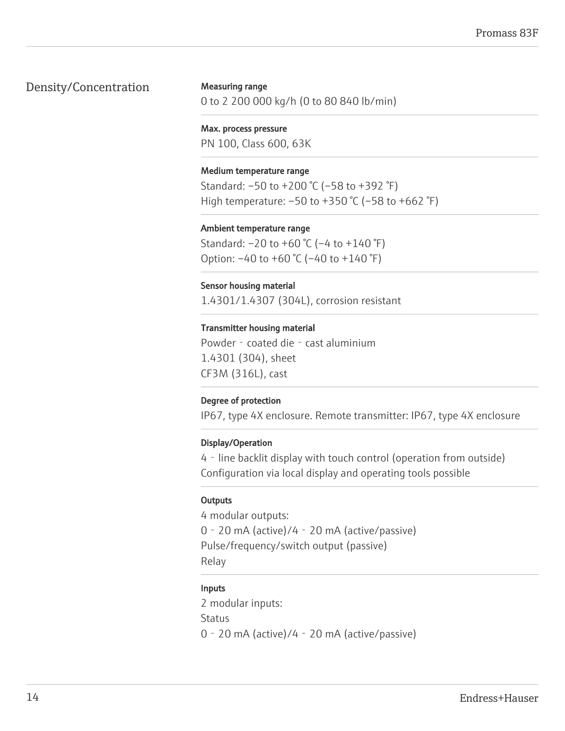## Density/Concentration

Measuring range 0 to 2 200 000 kg/h (0 to 80 840 lb/min)

Max. process pressure PN 100, Class 600, 63K

#### Medium temperature range

Standard: –50 to +200 °C (–58 to +392 °F) High temperature: –50 to +350 °C (–58 to +662 °F)

#### Ambient temperature range

Standard: –20 to +60 °C (–4 to +140 °F) Option: –40 to +60 °C (–40 to +140 °F)

#### Sensor housing material

1.4301/1.4307 (304L), corrosion resistant

#### Transmitter housing material

Powder - coated die - cast aluminium 1.4301 (304), sheet CF3M (316L), cast

#### Degree of protection

IP67, type 4X enclosure. Remote transmitter: IP67, type 4X enclosure

#### Display/Operation

4‐line backlit display with touch control (operation from outside) Configuration via local display and operating tools possible

#### **Outputs**

4 modular outputs: 0‐20 mA (active)/4‐20 mA (active/passive) Pulse/frequency/switch output (passive) Relay

#### Inputs

2 modular inputs: **Status** 0‐20 mA (active)/4‐20 mA (active/passive)